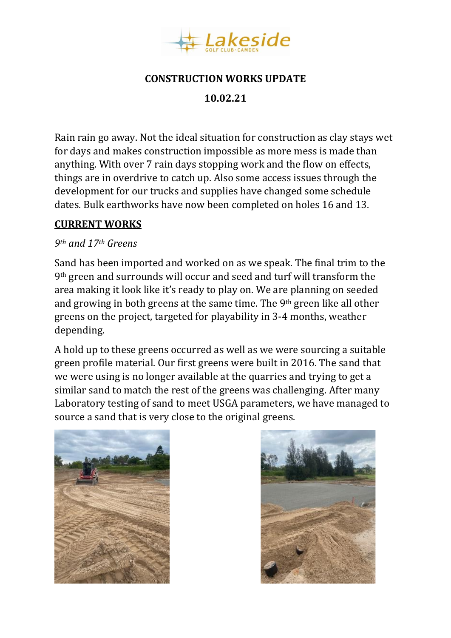

### **CONSTRUCTION WORKS UPDATE**

**10.02.21**

Rain rain go away. Not the ideal situation for construction as clay stays wet for days and makes construction impossible as more mess is made than anything. With over 7 rain days stopping work and the flow on effects, things are in overdrive to catch up. Also some access issues through the development for our trucks and supplies have changed some schedule dates. Bulk earthworks have now been completed on holes 16 and 13.

# **CURRENT WORKS**

#### *9th and 17th Greens*

Sand has been imported and worked on as we speak. The final trim to the 9th green and surrounds will occur and seed and turf will transform the area making it look like it's ready to play on. We are planning on seeded and growing in both greens at the same time. The 9th green like all other greens on the project, targeted for playability in 3-4 months, weather depending.

A hold up to these greens occurred as well as we were sourcing a suitable green profile material. Our first greens were built in 2016. The sand that we were using is no longer available at the quarries and trying to get a similar sand to match the rest of the greens was challenging. After many Laboratory testing of sand to meet USGA parameters, we have managed to source a sand that is very close to the original greens.



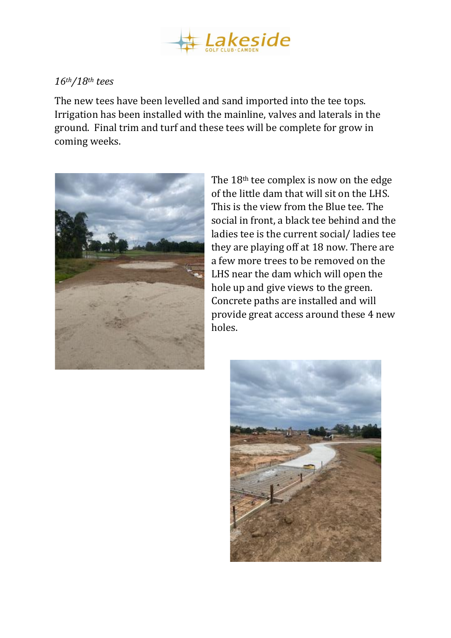

# *16th/18th tees*

The new tees have been levelled and sand imported into the tee tops. Irrigation has been installed with the mainline, valves and laterals in the ground. Final trim and turf and these tees will be complete for grow in coming weeks.



The 18th tee complex is now on the edge of the little dam that will sit on the LHS. This is the view from the Blue tee. The social in front, a black tee behind and the ladies tee is the current social/ ladies tee they are playing off at 18 now. There are a few more trees to be removed on the LHS near the dam which will open the hole up and give views to the green. Concrete paths are installed and will provide great access around these 4 new holes.

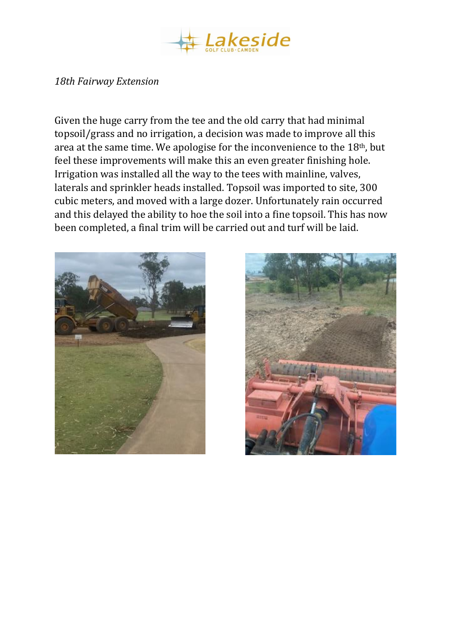

### *18th Fairway Extension*

Given the huge carry from the tee and the old carry that had minimal topsoil/grass and no irrigation, a decision was made to improve all this area at the same time. We apologise for the inconvenience to the 18th, but feel these improvements will make this an even greater finishing hole. Irrigation was installed all the way to the tees with mainline, valves, laterals and sprinkler heads installed. Topsoil was imported to site, 300 cubic meters, and moved with a large dozer. Unfortunately rain occurred and this delayed the ability to hoe the soil into a fine topsoil. This has now been completed, a final trim will be carried out and turf will be laid.